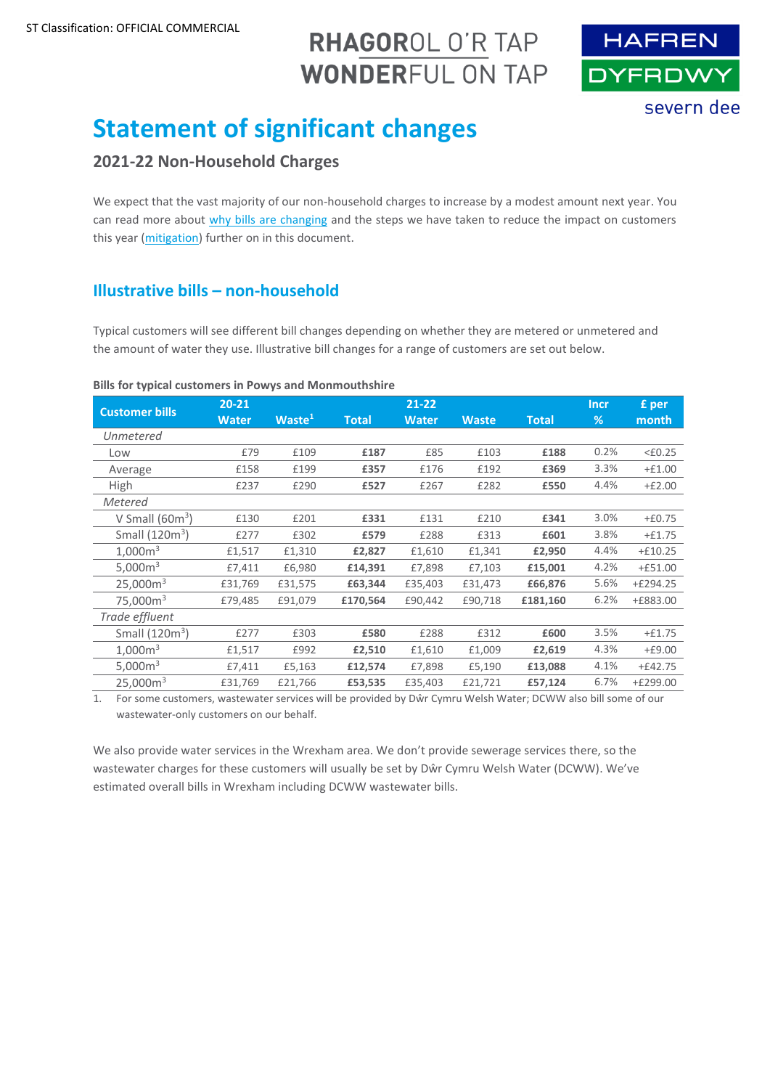# RHAGOROL O'R TAP **WONDERFUL ON TAP**



# **Statement of significant changes**

# **2021-22 Non-Household Charges**

We expect that the vast majority of our non-household charges to increase by a modest amount next year. You can read more about [why bills are changing](#page-1-0) and the steps we have taken to reduce the impact on customers this year [\(mitigation\)](#page-2-0) further on in this document.

### **Illustrative bills – non-household**

Typical customers will see different bill changes depending on whether they are metered or unmetered and the amount of water they use. Illustrative bill changes for a range of customers are set out below.

#### **Bills for typical customers in Powys and Monmouthshire**

| <b>Customer bills</b> | $20 - 21$    |                    |              | $21 - 22$    |              |              | <b>Incr</b> | £ per            |
|-----------------------|--------------|--------------------|--------------|--------------|--------------|--------------|-------------|------------------|
|                       | <b>Water</b> | Waste <sup>1</sup> | <b>Total</b> | <b>Water</b> | <b>Waste</b> | <b>Total</b> | %           | month            |
| Unmetered             |              |                    |              |              |              |              |             |                  |
| Low                   | £79          | £109               | £187         | £85          | £103         | £188         | 0.2%        | $<\epsilon$ 0.25 |
| Average               | £158         | £199               | £357         | £176         | £192         | £369         | 3.3%        | $+£1.00$         |
| <b>High</b>           | £237         | £290               | £527         | £267         | £282         | £550         | 4.4%        | $+£2.00$         |
| Metered               |              |                    |              |              |              |              |             |                  |
| V Small $(60m^3)$     | £130         | £201               | £331         | £131         | £210         | £341         | 3.0%        | $+£0.75$         |
| Small $(120m3)$       | £277         | £302               | £579         | £288         | £313         | £601         | 3.8%        | $+£1.75$         |
| 1,000m <sup>3</sup>   | £1,517       | £1,310             | £2,827       | £1,610       | £1,341       | £2,950       | 4.4%        | $+£10.25$        |
| 5,000 $m3$            | £7,411       | £6,980             | £14,391      | £7,898       | £7,103       | £15,001      | 4.2%        | $+£51.00$        |
| 25,000m <sup>3</sup>  | £31,769      | £31,575            | £63,344      | £35,403      | £31,473      | £66,876      | 5.6%        | $+£294.25$       |
| 75,000m <sup>3</sup>  | £79,485      | £91,079            | £170,564     | £90,442      | £90,718      | £181,160     | 6.2%        | +£883.00         |
| Trade effluent        |              |                    |              |              |              |              |             |                  |
| Small $(120m3)$       | £277         | £303               | £580         | £288         | £312         | £600         | 3.5%        | $+£1.75$         |
| 1,000m <sup>3</sup>   | £1,517       | £992               | £2,510       | £1,610       | £1,009       | £2,619       | 4.3%        | $+£9.00$         |
| 5,000m <sup>3</sup>   | £7,411       | £5,163             | £12,574      | £7,898       | £5,190       | £13,088      | 4.1%        | $+£42.75$        |
| 25,000m <sup>3</sup>  | £31,769      | £21,766            | £53,535      | £35,403      | £21,721      | £57,124      | 6.7%        | $+£299.00$       |

1. For some customers, wastewater services will be provided by Dŵr Cymru Welsh Water; DCWW also bill some of our wastewater-only customers on our behalf.

We also provide water services in the Wrexham area. We don't provide sewerage services there, so the wastewater charges for these customers will usually be set by Dŵr Cymru Welsh Water (DCWW). We've estimated overall bills in Wrexham including DCWW wastewater bills.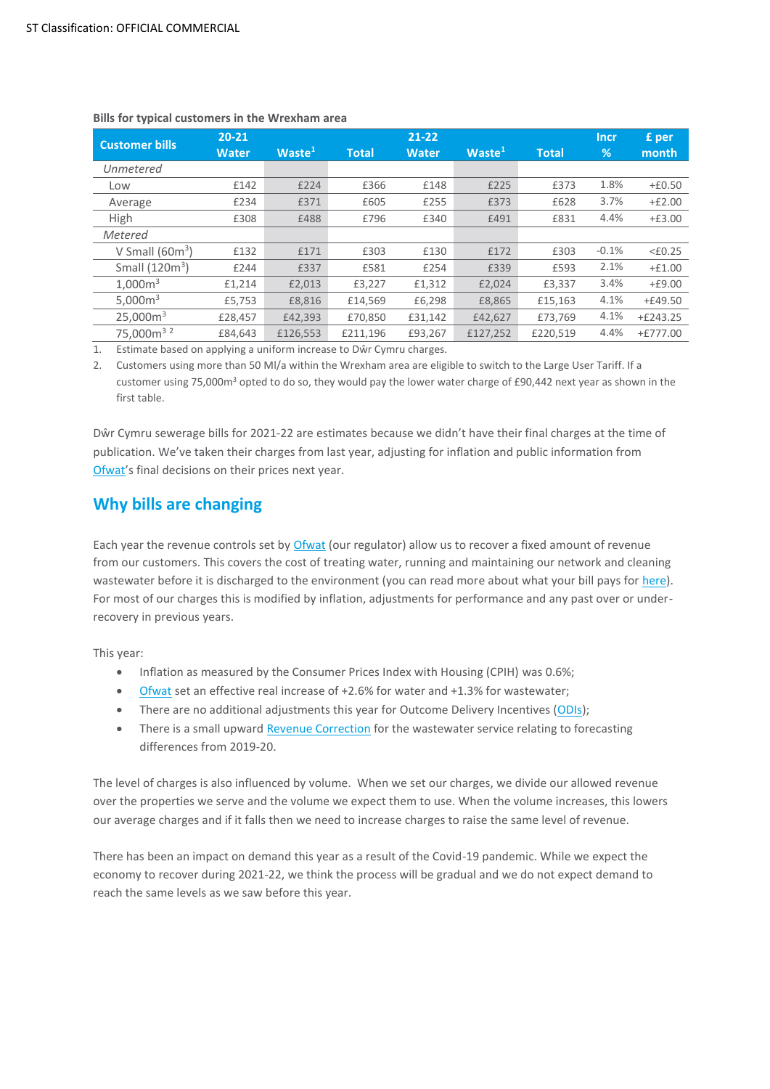| <b>Customer bills</b>             | $20 - 21$    |                    | $21 - 22$    |              |                    |              | <b>Incr</b> | £ per      |
|-----------------------------------|--------------|--------------------|--------------|--------------|--------------------|--------------|-------------|------------|
|                                   | <b>Water</b> | Waste <sup>1</sup> | <b>Total</b> | <b>Water</b> | Waste <sup>1</sup> | <b>Total</b> | %           | month l    |
| Unmetered                         |              |                    |              |              |                    |              |             |            |
| Low                               | £142         | £224               | £366         | £148         | £225               | £373         | 1.8%        | $+£0.50$   |
| Average                           | £234         | £371               | £605         | £255         | £373               | £628         | 3.7%        | $+£2.00$   |
| High                              | £308         | £488               | £796         | £340         | £491               | £831         | 4.4%        | $+£3.00$   |
| <b>Metered</b>                    |              |                    |              |              |                    |              |             |            |
| V Small $(60m^3)$                 | £132         | £171               | £303         | £130         | £172               | £303         | $-0.1%$     | $<$ £0.25  |
| Small $(120m3)$                   | £244         | £337               | £581         | £254         | £339               | £593         | 2.1%        | $+£1.00$   |
| 1.000m <sup>3</sup>               | £1,214       | £2,013             | £3,227       | £1,312       | £2,024             | £3,337       | 3.4%        | $+£9.00$   |
| 5,000 $m3$                        | £5,753       | £8,816             | £14,569      | £6,298       | £8,865             | £15,163      | 4.1%        | $+£49.50$  |
| 25,000m <sup>3</sup>              | £28,457      | £42,393            | £70,850      | £31,142      | £42,627            | £73,769      | 4.1%        | $+£243.25$ |
| 75,000m <sup>3</sup> <sup>2</sup> | £84,643      | £126,553           | £211,196     | £93,267      | £127,252           | £220,519     | 4.4%        | $+£777.00$ |

#### <span id="page-1-1"></span>**Bills for typical customers in the Wrexham area**

1. Estimate based on applying a uniform increase to Dŵr Cymru charges.

2. Customers using more than 50 Ml/a within the Wrexham area are eligible to switch to the Large User Tariff. If a customer using 75,000m<sup>3</sup> opted to do so, they would pay the lower water charge of £90,442 next year as shown in the first table.

Dŵr Cymru sewerage bills for 2021-22 are estimates because we didn't have their final charges at the time of publication. We've taken their charges from last year, adjusting for inflation and public information from [Ofwat](https://www.ofwat.gov.uk/)'s final decisions on their prices next year.

# <span id="page-1-0"></span>**Why bills are changing**

Each year the revenue controls set by **Ofwat** (our regulator) allow us to recover a fixed amount of revenue from our customers. This covers the cost of treating water, running and maintaining our network and cleaning wastewater before it is discharged to the environment (you can read more about what your bill pays fo[r here\)](https://www.hdcymru.co.uk/my-account/our-service-explained/). For most of our charges this is modified by inflation, adjustments for performance and any past over or underrecovery in previous years.

This year:

- Inflation as measured by the Consumer Prices Index with Housing (CPIH) was 0.6%;
- [Ofwat](https://www.ofwat.gov.uk/) set an effective real increase of +2.6% for water and +1.3% for wastewater;
- There are no additional adjustments this year for Outcome Delivery Incentives [\(ODIs\)](#page-3-0);
- There is a small upward [Revenue Correction](#page-3-1) for the wastewater service relating to forecasting differences from 2019-20.

The level of charges is also influenced by volume. When we set our charges, we divide our allowed revenue over the properties we serve and the volume we expect them to use. When the volume increases, this lowers our average charges and if it falls then we need to increase charges to raise the same level of revenue.

There has been an impact on demand this year as a result of the Covid-19 pandemic. While we expect the economy to recover during 2021-22, we think the process will be gradual and we do not expect demand to reach the same levels as we saw before this year.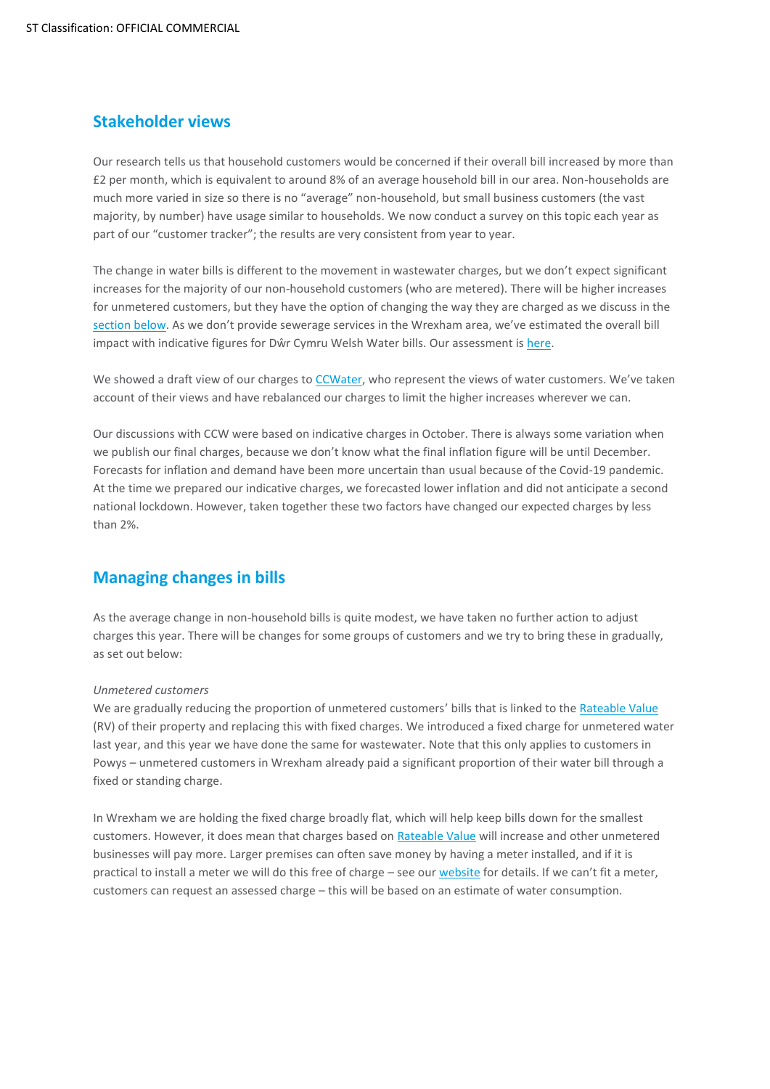### **Stakeholder views**

Our research tells us that household customers would be concerned if their overall bill increased by more than £2 per month, which is equivalent to around 8% of an average household bill in our area. Non-households are much more varied in size so there is no "average" non-household, but small business customers (the vast majority, by number) have usage similar to households. We now conduct a survey on this topic each year as part of our "customer tracker"; the results are very consistent from year to year.

The change in water bills is different to the movement in wastewater charges, but we don't expect significant increases for the majority of our non-household customers (who are metered). There will be higher increases for unmetered customers, but they have the option of changing the way they are charged as we discuss in the [section below.](#page-2-0) As we don't provide sewerage services in the Wrexham area, we've estimated the overall bill impact with indicative figures for Dŵr Cymru Welsh Water bills. Our assessment i[s here.](#page-1-1)

We showed a draft view of our charges to [CCWater](https://www.ccwater.org.uk/), who represent the views of water customers. We've taken account of their views and have rebalanced our charges to limit the higher increases wherever we can.

Our discussions with CCW were based on indicative charges in October. There is always some variation when we publish our final charges, because we don't know what the final inflation figure will be until December. Forecasts for inflation and demand have been more uncertain than usual because of the Covid-19 pandemic. At the time we prepared our indicative charges, we forecasted lower inflation and did not anticipate a second national lockdown. However, taken together these two factors have changed our expected charges by less than 2%.

# <span id="page-2-0"></span>**Managing changes in bills**

As the average change in non-household bills is quite modest, we have taken no further action to adjust charges this year. There will be changes for some groups of customers and we try to bring these in gradually, as set out below:

#### *Unmetered customers*

We are gradually reducing the proportion of unmetered customers' bills that is linked to the Rateable Value (RV) of their property and replacing this with fixed charges. We introduced a fixed charge for unmetered water last year, and this year we have done the same for wastewater. Note that this only applies to customers in Powys – unmetered customers in Wrexham already paid a significant proportion of their water bill through a fixed or standing charge.

In Wrexham we are holding the fixed charge broadly flat, which will help keep bills down for the smallest customers. However, it does mean that charges based on [Rateable Value](#page-3-2) will increase and other unmetered businesses will pay more. Larger premises can often save money by having a meter installed, and if it is practical to install a meter we will do this free of charge – see ou[r website](https://hdcymru.co.uk/my-account/my-water-meter/apply-for-a-water-meter) for details. If we can't fit a meter, customers can request an assessed charge – this will be based on an estimate of water consumption.